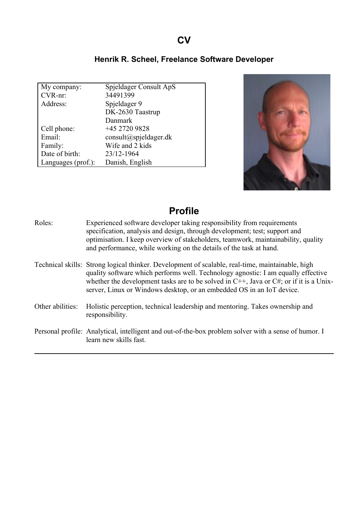### **CV**

#### **Henrik R. Scheel, Freelance Software Developer**

| My company:        | Spjeldager Consult ApS             |
|--------------------|------------------------------------|
| CVR-nr:            | 34491399                           |
| Address:           | Spjeldager 9                       |
|                    | DK-2630 Taastrup                   |
|                    | Danmark                            |
| Cell phone:        | +45 2720 9828                      |
| Email:             | $\text{constult}(a)$ spjeldager.dk |
| Family:            | Wife and 2 kids                    |
| Date of birth:     | 23/12-1964                         |
| Languages (prof.): | Danish, English                    |



### **Profile**

Roles: Experienced software developer taking responsibility from requirements specification, analysis and design, through development; test; support and optimisation. I keep overview of stakeholders, teamwork, maintainability, quality and performance, while working on the details of the task at hand. Technical skills: Strong logical thinker. Development of scalable, real-time, maintainable, high quality software which performs well. Technology agnostic: I am equally effective whether the development tasks are to be solved in C++, Java or C#; or if it is a Unixserver, Linux or Windows desktop, or an embedded OS in an IoT device. Other abilities: Holistic perception, technical leadership and mentoring. Takes ownership and responsibility. Personal profile: Analytical, intelligent and out-of-the-box problem solver with a sense of humor. I learn new skills fast.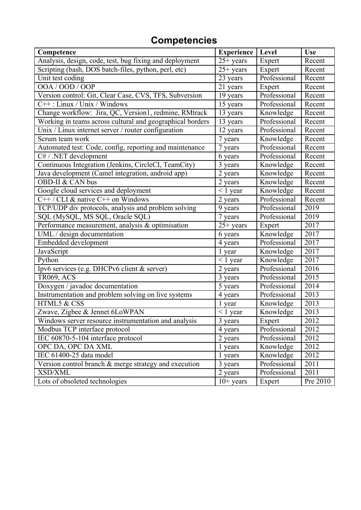# **Competencies**

| Competence                                                | <b>Experience</b>   | Level        | <b>Use</b> |
|-----------------------------------------------------------|---------------------|--------------|------------|
| Analysis, design, code, test, bug fixing and deployment   | $25+$ years         | Expert       | Recent     |
| Scripting (bash, DOS batch-files, python, perl, etc)      | $25+$ years         | Expert       | Recent     |
| Unit test coding                                          | 23 years            | Professional | Recent     |
| OOA / OOD / OOP                                           | 21 years            | Expert       | Recent     |
| Version control: Git, Clear Case, CVS, TFS, Subversion    | 19 years            | Professional | Recent     |
| $C++$ : Linux / Unix / Windows                            | 15 years            | Professional | Recent     |
| Change workflow: Jira, QC, Version1, redmine, RMtrack     | 13 years            | Knowledge    | Recent     |
| Working in teams across cultural and geographical borders | 13 years            | Professional | Recent     |
| Unix / Linux internet server / router configuration       | 12 years            | Professional | Recent     |
| Scrum team work                                           | 7 years             | Knowledge    | Recent     |
| Automated test: Code, config, reporting and maintenance   | 7 years             | Professional | Recent     |
| C# / .NET development                                     | 6 years             | Professional | Recent     |
| Continuous Integration (Jenkins, CircleCI, TeamCity)      | 3 years             | Knowledge    | Recent     |
| Java development (Camel integration, android app)         | 2 years             | Knowledge    | Recent     |
| OBD-II & CAN bus                                          | 2 years             | Knowledge    | Recent     |
| Google cloud services and deployment                      | $\overline{1}$ year | Knowledge    | Recent     |
| $C++/CLI$ & native $C++$ on Windows                       | 2 years             | Professional | Recent     |
| TCP/UDP div protocols, analysis and problem solving       | 9 years             | Professional | 2019       |
| SQL (MySQL, MS SQL, Oracle SQL)                           | 7 years             | Professional | 2019       |
| Performance measurement, analysis & optimisation          | $25+ years$         | Expert       | 2017       |
| UML / design documentation                                | 6 years             | Knowledge    | 2017       |
| Embedded development                                      | 4 years             | Professional | 2017       |
| JavaScript                                                | 1 year              | Knowledge    | 2017       |
| Python                                                    | $< 1$ year          | Knowledge    | 2017       |
| Ipv6 services (e.g. DHCPv6 client & server)               | 2 years             | Professional | 2016       |
| <b>TR069, ACS</b>                                         | 3 years             | Professional | 2015       |
| Doxygen / javadoc documentation                           | 5 years             | Professional | 2014       |
| Instrumentation and problem solving on live systems       | 4 years             | Professional | 2013       |
| HTML5 & CSS                                               | 1 year              | Knowledge    | 2013       |
| Zwave, Zigbee & Jennet 6LoWPAN                            | $< 1$ year          | Knowledge    | 2013       |
| Windows server resource instrumentation and analysis      | 3 years             | Expert       | 2012       |
| Modbus TCP interface protocol                             | 4 years             | Professional | 2012       |
| IEC 60870-5-104 interface protocol                        | 2 years             | Professional | 2012       |
| OPC DA, OPC DA XML                                        | 1 years             | Knowledge    | 2012       |
| IEC 61400-25 data model                                   | 1 years             | Knowledge    | 2012       |
| Version control branch & merge strategy and execution     | 3 years             | Professional | 2011       |
| <b>XSD/XML</b>                                            | 2 years             | Professional | 2011       |
| Lots of obsoleted technologies                            | $10+$ years         | Expert       | Pre 2010   |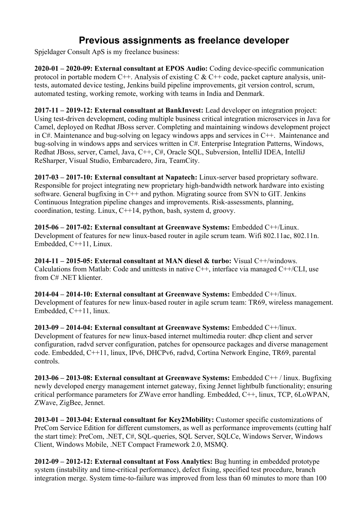## **Previous assignments as freelance developer**

Spjeldager Consult ApS is my freelance business:

**2020-01 – 2020-09: External consultant at EPOS Audio:** Coding device-specific communication protocol in portable modern C++. Analysis of existing C  $&$  C++ code, packet capture analysis, unittests, automated device testing, Jenkins build pipeline improvements, git version control, scrum, automated testing, working remote, working with teams in India and Denmark.

**2017-11 – 2019-12: External consultant at BankInvest:** Lead developer on integration project: Using test-driven development, coding multiple business critical integration microservices in Java for Camel, deployed on Redhat JBoss server. Completing and maintaining windows development project in C#. Maintenance and bug-solving on legacy windows apps and services in C++. Maintenance and bug-solving in windows apps and services written in C#. Enterprise Integration Patterns, Windows, Redhat JBoss, server, Camel, Java, C++, C#, Oracle SQL, Subversion, IntelliJ IDEA, IntelliJ ReSharper, Visual Studio, Embarcadero, Jira, TeamCity.

**2017-03 – 2017-10: External consultant at Napatech:** Linux-server based proprietary software. Responsible for project integrating new proprietary high-bandwidth network hardware into existing software. General bugfixing in C++ and python. Migrating source from SVN to GIT. Jenkins Continuous Integration pipeline changes and improvements. Risk-assessments, planning, coordination, testing. Linux, C++14, python, bash, system d, groovy.

**2015-06 – 2017-02: External consultant at Greenwave Systems:** Embedded C++/Linux. Development of features for new linux-based router in agile scrum team. Wifi 802.11ac, 802.11n. Embedded, C++11, Linux.

**2014-11 – 2015-05: External consultant at MAN diesel & turbo:** Visual C++/windows. Calculations from Matlab: Code and unittests in native C++, interface via managed C++/CLI, use from C# NET klienter.

**2014-04 – 2014-10: External consultant at Greenwave Systems:** Embedded C++/linux. Development of features for new linux-based router in agile scrum team: TR69, wireless management. Embedded, C++11, linux.

**2013-09 – 2014-04: External consultant at Greenwave Systems:** Embedded C++/linux. Development of features for new linux-based internet multimedia router: dhcp client and server configuration, radvd server configuration, patches for opensource packages and diverse management code. Embedded, C++11, linux, IPv6, DHCPv6, radvd, Cortina Network Engine, TR69, parental controls.

**2013-06 – 2013-08: External consultant at Greenwave Systems:** Embedded C++ / linux. Bugfixing newly developed energy management internet gateway, fixing Jennet lightbulb functionality; ensuring critical performance parameters for ZWave error handling. Embedded, C++, linux, TCP, 6LoWPAN, ZWave, ZigBee, Jennet.

**2013-01 – 2013-04: External consultant for Key2Mobility:** Customer specific customizations of PreCom Service Edition for different cumstomers, as well as performance improvements (cutting half the start time): PreCom, .NET, C#, SQL-queries, SQL Server, SQLCe, Windows Server, Windows Client, Windows Mobile, .NET Compact Framework 2.0, MSMQ.

**2012-09 – 2012-12: External consultant at Foss Analytics:** Bug hunting in embedded prototype system (instability and time-critical performance), defect fixing, specified test procedure, branch integration merge. System time-to-failure was improved from less than 60 minutes to more than 100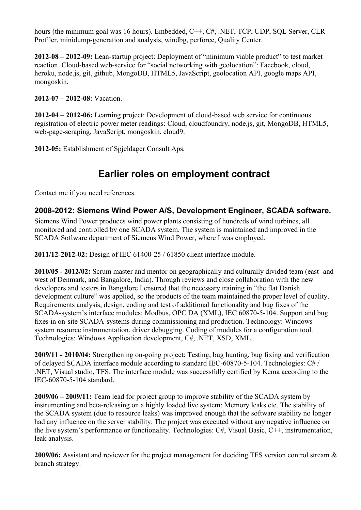hours (the minimum goal was 16 hours). Embedded, C<sup>++</sup>, C#, .NET, TCP, UDP, SOL Server, CLR Profiler, minidump-generation and analysis, windbg, perforce, Quality Center.

**2012-08 – 2012-09:** Lean-startup project: Deployment of "minimum viable product" to test market reaction. Cloud-based web-service for "social networking with geolocation": Facebook, cloud, heroku, node.js, git, github, MongoDB, HTML5, JavaScript, geolocation API, google maps API, mongoskin.

**2012-07 – 2012-08**: Vacation.

**2012-04 – 2012-06:** Learning project: Development of cloud-based web service for continuous registration of electric power meter readings: Cloud, cloudfoundry, node.js, git, MongoDB, HTML5, web-page-scraping, JavaScript, mongoskin, cloud9.

**2012-05:** Establishment of Spjeldager Consult Aps.

### **Earlier roles on employment contract**

Contact me if you need references.

#### **2008-2012: Siemens Wind Power A/S, Development Engineer, SCADA software.**

Siemens Wind Power produces wind power plants consisting of hundreds of wind turbines, all monitored and controlled by one SCADA system. The system is maintained and improved in the SCADA Software department of Siemens Wind Power, where I was employed.

**2011/12-2012-02:** Design of IEC 61400-25 / 61850 client interface module.

**2010/05 - 2012/02:** Scrum master and mentor on geographically and culturally divided team (east- and west of Denmark, and Bangalore, India). Through reviews and close collaboration with the new developers and testers in Bangalore I ensured that the necessary training in "the flat Danish development culture" was applied, so the products of the team maintained the proper level of quality. Requirements analysis, design, coding and test of additional functionality and bug fixes of the SCADA-system's interface modules: Modbus, OPC DA (XML), IEC 60870-5-104. Support and bug fixes in on-site SCADA-systems during commissioning and production. Technology: Windows system resource instrumentation, driver debugging. Coding of modules for a configuration tool. Technologies: Windows Application development, C#, .NET, XSD, XML.

**2009/11 - 2010/04:** Strengthening on-going project: Testing, bug hunting, bug fixing and verification of delayed SCADA interface module according to standard IEC-60870-5-104. Technologies: C# / .NET, Visual studio, TFS. The interface module was successfully certified by Kema according to the IEC-60870-5-104 standard.

**2009/06 – 2009/11:** Team lead for project group to improve stability of the SCADA system by instrumenting and beta-releasing on a highly loaded live system: Memory leaks etc. The stability of the SCADA system (due to resource leaks) was improved enough that the software stability no longer had any influence on the server stability. The project was executed without any negative influence on the live system's performance or functionality. Technologies: C#, Visual Basic, C++, instrumentation, leak analysis.

**2009/06:** Assistant and reviewer for the project management for deciding TFS version control stream & branch strategy.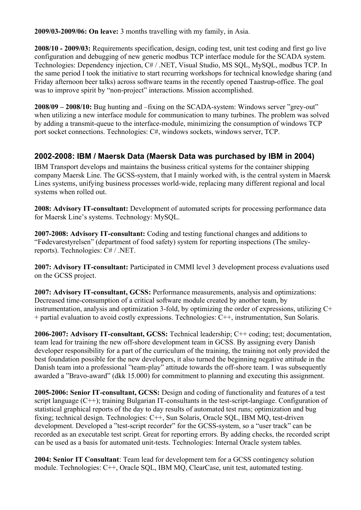**2009/03-2009/06: On leave:** 3 months travelling with my family, in Asia.

**2008/10 - 2009/03:** Requirements specification, design, coding test, unit test coding and first go live configuration and debugging of new generic modbus TCP interface module for the SCADA system. Technologies: Dependency injection, C# / .NET, Visual Studio, MS SQL, MySQL, modbus TCP. In the same period I took the initiative to start recurring workshops for technical knowledge sharing (and Friday afternoon beer talks) across software teams in the recently opened Taastrup-office. The goal was to improve spirit by "non-project" interactions. Mission accomplished.

**2008/09 – 2008/10:** Bug hunting and –fixing on the SCADA-system: Windows server "grey-out" when utilizing a new interface module for communication to many turbines. The problem was solved by adding a transmit-queue to the interface-module, minimizing the consumption of windows TCP port socket connections. Technologies: C#, windows sockets, windows server, TCP.

#### **2002-2008: IBM / Maersk Data (Maersk Data was purchased by IBM in 2004)**

IBM Transport develops and maintains the business critical systems for the container shipping company Maersk Line. The GCSS-system, that I mainly worked with, is the central system in Maersk Lines systems, unifying business processes world-wide, replacing many different regional and local systems when rolled out.

**2008: Advisory IT-consultant:** Development of automated scripts for processing performance data for Maersk Line's systems. Technology: MySQL.

**2007-2008: Advisory IT-consultant:** Coding and testing functional changes and additions to "Fødevarestyrelsen" (department of food safety) system for reporting inspections (The smileyreports). Technologies: C# / .NET.

**2007: Advisory IT-consultant:** Participated in CMMI level 3 development process evaluations used on the GCSS project.

**2007: Advisory IT-consultant, GCSS:** Performance measurements, analysis and optimizations: Decreased time-consumption of a critical software module created by another team, by instrumentation, analysis and optimization 3-fold, by optimizing the order of expressions, utilizing C+ + partial evaluation to avoid costly expressions. Technologies: C++, instrumentation, Sun Solaris.

**2006-2007: Advisory IT-consultant, GCSS:** Technical leadership; C++ coding; test; documentation, team lead for training the new off-shore development team in GCSS. By assigning every Danish developer responsibility for a part of the curriculum of the training, the training not only provided the best foundation possible for the new developers, it also turned the beginning negative attitude in the Danish team into a professional "team-play" attitude towards the off-shore team. I was subsequently awarded a "Bravo-award" (dkk 15.000) for commitment to planning and executing this assignment.

**2005-2006: Senior IT-consultant, GCSS:** Design and coding of functionality and features of a test script language (C++); training Bulgarian IT-consultants in the test-script-langiage. Configuration of statistical graphical reports of the day to day results of automated test runs; optimization and bug fixing; technical design. Technologies: C++, Sun Solaris, Oracle SQL, IBM MQ, test-driven development. Developed a "test-script recorder" for the GCSS-system, so a "user track" can be recorded as an executable test script. Great for reporting errors. By adding checks, the recorded script can be used as a basis for automated unit-tests. Technologies: Internal Oracle system tables.

**2004: Senior IT Consultant**: Team lead for development tem for a GCSS contingency solution module. Technologies: C++, Oracle SQL, IBM MQ, ClearCase, unit test, automated testing.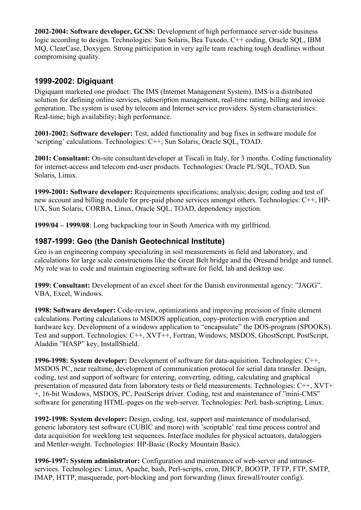**2002-2004: Software developer, GCSS:** Development of high performance server-side business logic according to design. Technologies: Sun Solaris, Bea Tuxedo, C++ coding, Oracle SQL, IBM MQ, ClearCase, Doxygen. Strong participation in very agile team reaching tough deadlines without compromising quality.

#### **1999-2002: Digiquant**

Digiquant marketed one product: The IMS (Internet Management System). IMS is a distributed solution for defining online services, subscription management, real-time rating, billing and invoice generation. The system is used by telecom and Internet service providers. System characteristics: Real-time; high availability; high performance.

**2001-2002: Software developer:** Test, added functionality and bug fixes in software module for 'scripting' calculations. Technologies: C++, Sun Solaris, Oracle SQL, TOAD.

**2001: Consultant:** On-site consultant/developer at Tiscali in Italy, for 3 months. Coding functionality for internet-access and telecom end-user products. Technologies: Oracle PL/SQL, TOAD, Sun Solaris, Linux.

**1999-2001: Software developer:** Requirements specifications; analysis; design; coding and test of new account and billing module for pre-paid phone services amongst others. Technologies: C++, HP-UX, Sun Solaris, CORBA, Linux, Oracle SQL, TOAD, dependency injection.

**1999/04 – 1999/08**: Long backpacking tour in South America with my girlfriend.

#### **1987-1999: Geo (the Danish Geotechnical Institute)**

Geo is an engineering company specializing in soil measurements in field and laboratory, and calculations for large scale constructions like the Great Belt bridge and the Øresund bridge and tunnel. My role was to code and maintain engineering software for field, lab and desktop use.

**1999: Consultant:** Development of an excel sheet for the Danish environmental agency: "JAGG". VBA, Excel, Windows.

**1998: Software developer:** Code-review, optimizations and improving precision of finite element calculations. Porting calculations to MSDOS application, copy-protection with encryption and hardware key. Development of a windows application to "encapsulate" the DOS-program (SPOOKS). Test and support. Technologies: C++, XVT++, Fortran, Windows, MSDOS, GhostScript, PostScript, Aladdin "HASP" key, InstallShield.

**1996-1998: System developer:** Development of software for data-aquisition. Technologies: C++, MSDOS PC, near realtime, development of communication protocol for serial data transfer. Design, coding, test and support of software for entering, converting, editing, calculating and graphical presentation of measured data from laboratory tests or field measurements. Technologies: C++, XVT+ +, 16-bit Windows, MSDOS, PC, PostScript driver. Coding, test and maintenance of "mini-CMS" software for generating HTML-pages on the web-server. Technologies: Perl, bash-scripting, Linux.

**1992-1998: System developer:** Design, coding, test, support and maintenance of modularised, generic laboratory test software (CUBIC and more) with 'scriptable' real time process control and data acquisition for weeklong test sequences. Interface modules for physical actuators, dataloggers and Mettler-weight. Technologies: HP-Basic (Rocky Mountain Basic).

**1996-1997: System administrator:** Configuration and maintenance of web-server and intranetservices. Technologies: Linux, Apache, bash, Perl-scripts, cron, DHCP, BOOTP, TFTP, FTP, SMTP, IMAP, HTTP, masquerade, port-blocking and port forwarding (linux firewall/router config).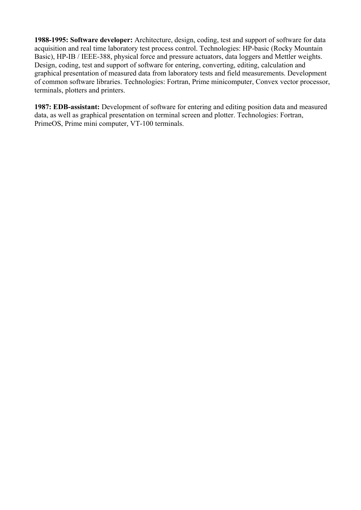**1988-1995: Software developer:** Architecture, design, coding, test and support of software for data acquisition and real time laboratory test process control. Technologies: HP-basic (Rocky Mountain Basic), HP-IB / IEEE-388, physical force and pressure actuators, data loggers and Mettler weights. Design, coding, test and support of software for entering, converting, editing, calculation and graphical presentation of measured data from laboratory tests and field measurements. Development of common software libraries. Technologies: Fortran, Prime minicomputer, Convex vector processor, terminals, plotters and printers.

**1987: EDB-assistant:** Development of software for entering and editing position data and measured data, as well as graphical presentation on terminal screen and plotter. Technologies: Fortran, PrimeOS, Prime mini computer, VT-100 terminals.